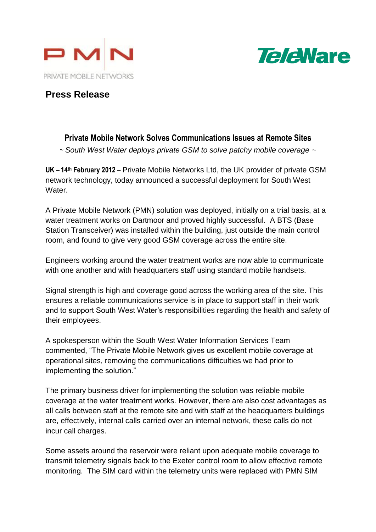



# **Press Release**

## **Private Mobile Network Solves Communications Issues at Remote Sites**

*~ South West Water deploys private GSM to solve patchy mobile coverage ~*

**UK – 14th February 2012** – Private Mobile Networks Ltd, the UK provider of private GSM network technology, today announced a successful deployment for South West Water.

A Private Mobile Network (PMN) solution was deployed, initially on a trial basis, at a water treatment works on Dartmoor and proved highly successful. A BTS (Base Station Transceiver) was installed within the building, just outside the main control room, and found to give very good GSM coverage across the entire site.

Engineers working around the water treatment works are now able to communicate with one another and with headquarters staff using standard mobile handsets.

Signal strength is high and coverage good across the working area of the site. This ensures a reliable communications service is in place to support staff in their work and to support South West Water's responsibilities regarding the health and safety of their employees.

A spokesperson within the South West Water Information Services Team commented, "The Private Mobile Network gives us excellent mobile coverage at operational sites, removing the communications difficulties we had prior to implementing the solution."

The primary business driver for implementing the solution was reliable mobile coverage at the water treatment works. However, there are also cost advantages as all calls between staff at the remote site and with staff at the headquarters buildings are, effectively, internal calls carried over an internal network, these calls do not incur call charges.

Some assets around the reservoir were reliant upon adequate mobile coverage to transmit telemetry signals back to the Exeter control room to allow effective remote monitoring. The SIM card within the telemetry units were replaced with PMN SIM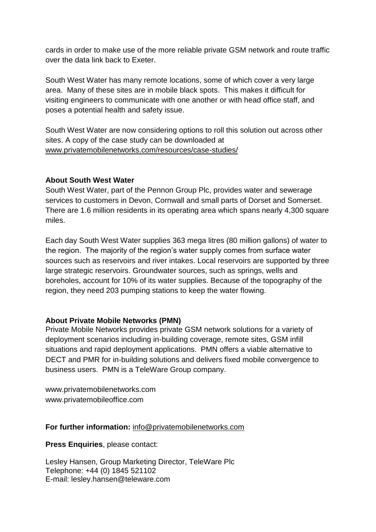cards in order to make use of the more reliable private GSM network and route traffic over the data link back to Exeter.

South West Water has many remote locations, some of which cover a very large area. Many of these sites are in mobile black spots. This makes it difficult for visiting engineers to communicate with one another or with head office staff, and poses a potential health and safety issue.

South West Water are now considering options to roll this solution out across other sites. A copy of the case study can be downloaded at [www.privatemobilenetworks.com/resources/case-studies/](http://www.privatemobilenetworks.com/resources/case-studies/)

### **About South West Water**

South West Water, part of the Pennon Group Plc, provides water and sewerage services to customers in Devon, Cornwall and small parts of Dorset and Somerset. There are 1.6 million residents in its operating area which spans nearly 4,300 square miles.

Each day South West Water supplies 363 mega litres (80 million gallons) of water to the region. The majority of the region's water supply comes from surface water sources such as reservoirs and river intakes. Local reservoirs are supported by three large strategic reservoirs. Groundwater sources, such as springs, wells and boreholes, account for 10% of its water supplies. Because of the topography of the region, they need 203 pumping stations to keep the water flowing.

### **About Private Mobile Networks (PMN)**

Private Mobile Networks provides private GSM network solutions for a variety of deployment scenarios including in-building coverage, remote sites, GSM infill situations and rapid deployment applications. PMN offers a viable alternative to DECT and PMR for in-building solutions and delivers fixed mobile convergence to business users. PMN is a TeleWare Group company.

[www.privatemobilenetworks.com](http://www.privatemobilenetworks.com/) [www.privatemobileoffice.com](http://www.privatemobileoffice.com/)

#### **For further information:** [info@privatemobilenetworks.com](mailto:info@privatemobilenetworks.com)

**Press Enquiries**, please contact:

Lesley Hansen, Group Marketing Director, TeleWare Plc Telephone: +44 (0) 1845 521102 E-mail: lesley.hansen@teleware.com